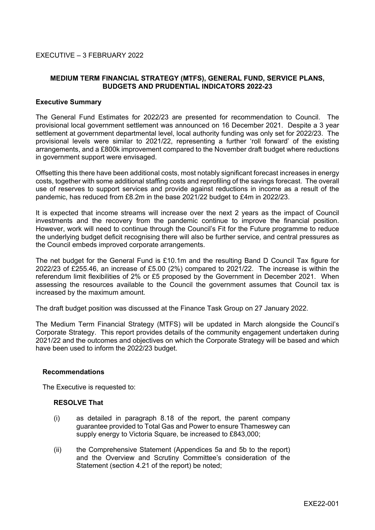# **MEDIUM TERM FINANCIAL STRATEGY (MTFS), GENERAL FUND, SERVICE PLANS, BUDGETS AND PRUDENTIAL INDICATORS 2022-23**

#### **Executive Summary**

The General Fund Estimates for 2022/23 are presented for recommendation to Council. The provisional local government settlement was announced on 16 December 2021. Despite a 3 year settlement at government departmental level, local authority funding was only set for 2022/23. The provisional levels were similar to 2021/22, representing a further 'roll forward' of the existing arrangements, and a £800k improvement compared to the November draft budget where reductions in government support were envisaged.

Offsetting this there have been additional costs, most notably significant forecast increases in energy costs, together with some additional staffing costs and reprofiling of the savings forecast. The overall use of reserves to support services and provide against reductions in income as a result of the pandemic, has reduced from £8.2m in the base 2021/22 budget to £4m in 2022/23.

It is expected that income streams will increase over the next 2 years as the impact of Council investments and the recovery from the pandemic continue to improve the financial position. However, work will need to continue through the Council's Fit for the Future programme to reduce the underlying budget deficit recognising there will also be further service, and central pressures as the Council embeds improved corporate arrangements.

The net budget for the General Fund is £10.1m and the resulting Band D Council Tax figure for 2022/23 of £255.46, an increase of £5.00 (2%) compared to 2021/22. The increase is within the referendum limit flexibilities of 2% or £5 proposed by the Government in December 2021. When assessing the resources available to the Council the government assumes that Council tax is increased by the maximum amount.

The draft budget position was discussed at the Finance Task Group on 27 January 2022.

The Medium Term Financial Strategy (MTFS) will be updated in March alongside the Council's Corporate Strategy. This report provides details of the community engagement undertaken during 2021/22 and the outcomes and objectives on which the Corporate Strategy will be based and which have been used to inform the 2022/23 budget.

#### **Recommendations**

The Executive is requested to:

#### **RESOLVE That**

- (i) as detailed in paragraph 8.18 of the report, the parent company guarantee provided to Total Gas and Power to ensure Thameswey can supply energy to Victoria Square, be increased to £843,000;
- (ii) the Comprehensive Statement (Appendices 5a and 5b to the report) and the Overview and Scrutiny Committee's consideration of the Statement (section 4.21 of the report) be noted;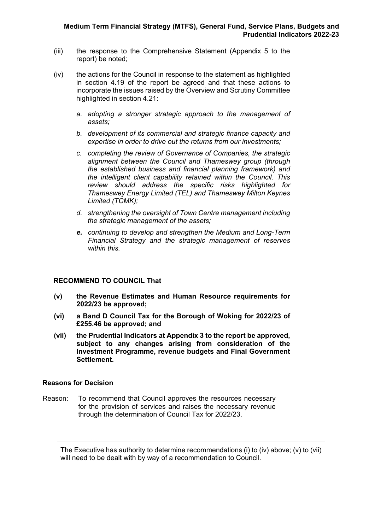- (iii) the response to the Comprehensive Statement (Appendix 5 to the report) be noted;
- (iv) the actions for the Council in response to the statement as highlighted in section 4.19 of the report be agreed and that these actions to incorporate the issues raised by the Overview and Scrutiny Committee highlighted in section 4.21:
	- *a. adopting a stronger strategic approach to the management of assets;*
	- *b. development of its commercial and strategic finance capacity and expertise in order to drive out the returns from our investments;*
	- *c. completing the review of Governance of Companies, the strategic alignment between the Council and Thameswey group (through the established business and financial planning framework) and the intelligent client capability retained within the Council. This review should address the specific risks highlighted for Thameswey Energy Limited (TEL) and Thameswey Milton Keynes Limited (TCMK);*
	- *d. strengthening the oversight of Town Centre management including the strategic management of the assets;*
	- *e. continuing to develop and strengthen the Medium and Long-Term Financial Strategy and the strategic management of reserves within this.*

# **RECOMMEND TO COUNCIL That**

- **(v) the Revenue Estimates and Human Resource requirements for 2022/23 be approved;**
- **(vi) a Band D Council Tax for the Borough of Woking for 2022/23 of £255.46 be approved; and**
- **(vii) the Prudential Indicators at Appendix 3 to the report be approved, subject to any changes arising from consideration of the Investment Programme, revenue budgets and Final Government Settlement.**

# **Reasons for Decision**

Reason: To recommend that Council approves the resources necessary for the provision of services and raises the necessary revenue through the determination of Council Tax for 2022/23.

The Executive has authority to determine recommendations (i) to (iv) above; (v) to (vii) will need to be dealt with by way of a recommendation to Council.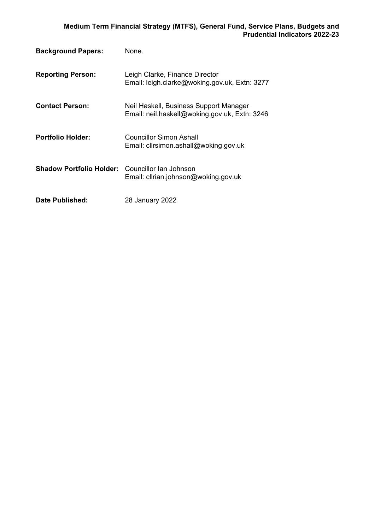| <b>Background Papers:</b>       | None.                                                                                   |
|---------------------------------|-----------------------------------------------------------------------------------------|
| <b>Reporting Person:</b>        | Leigh Clarke, Finance Director<br>Email: leigh.clarke@woking.gov.uk, Extn: 3277         |
| <b>Contact Person:</b>          | Neil Haskell, Business Support Manager<br>Email: neil.haskell@woking.gov.uk, Extn: 3246 |
| <b>Portfolio Holder:</b>        | <b>Councillor Simon Ashall</b><br>Email: clirsimon.ashall@woking.gov.uk                 |
| <b>Shadow Portfolio Holder:</b> | Councillor Ian Johnson<br>Email: clirian.johnson@woking.gov.uk                          |
| Date Published:                 | 28 January 2022                                                                         |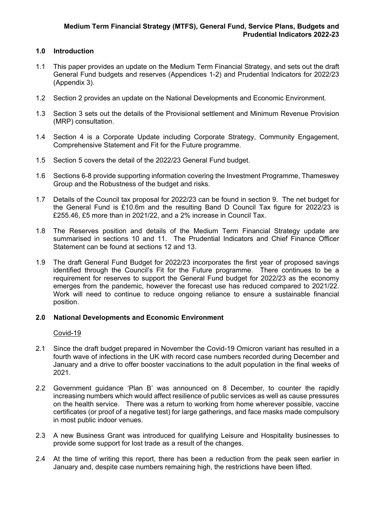# **1.0 Introduction**

- 1.1 This paper provides an update on the Medium Term Financial Strategy, and sets out the draft General Fund budgets and reserves (Appendices 1-2) and Prudential Indicators for 2022/23 (Appendix 3).
- 1.2 Section 2 provides an update on the National Developments and Economic Environment.
- 1.3 Section 3 sets out the details of the Provisional settlement and Minimum Revenue Provision (MRP) consultation.
- 1.4 Section 4 is a Corporate Update including Corporate Strategy, Community Engagement, Comprehensive Statement and Fit for the Future programme.
- 1.5 Section 5 covers the detail of the 2022/23 General Fund budget.
- 1.6 Sections 6-8 provide supporting information covering the Investment Programme, Thameswey Group and the Robustness of the budget and risks.
- 1.7 Details of the Council tax proposal for 2022/23 can be found in section 9. The net budget for the General Fund is £10.6m and the resulting Band D Council Tax figure for 2022/23 is £255.46, £5 more than in 2021/22, and a 2% increase in Council Tax.
- 1.8 The Reserves position and details of the Medium Term Financial Strategy update are summarised in sections 10 and 11. The Prudential Indicators and Chief Finance Officer Statement can be found at sections 12 and 13.
- 1.9 The draft General Fund Budget for 2022/23 incorporates the first year of proposed savings identified through the Council's Fit for the Future programme. There continues to be a requirement for reserves to support the General Fund budget for 2022/23 as the economy emerges from the pandemic, however the forecast use has reduced compared to 2021/22. Work will need to continue to reduce ongoing reliance to ensure a sustainable financial position.

# **2.0 National Developments and Economic Environment**

Covid-19

- 2.1 Since the draft budget prepared in November the Covid-19 Omicron variant has resulted in a fourth wave of infections in the UK with record case numbers recorded during December and January and a drive to offer booster vaccinations to the adult population in the final weeks of 2021.
- 2.2 Government guidance 'Plan B' was announced on 8 December, to counter the rapidly increasing numbers which would affect resilience of public services as well as cause pressures on the health service. There was a return to working from home wherever possible, vaccine certificates (or proof of a negative test) for large gatherings, and face masks made compulsory in most public indoor venues.
- 2.3 A new Business Grant was introduced for qualifying Leisure and Hospitality businesses to provide some support for lost trade as a result of the changes.
- 2.4 At the time of writing this report, there has been a reduction from the peak seen earlier in January and, despite case numbers remaining high, the restrictions have been lifted.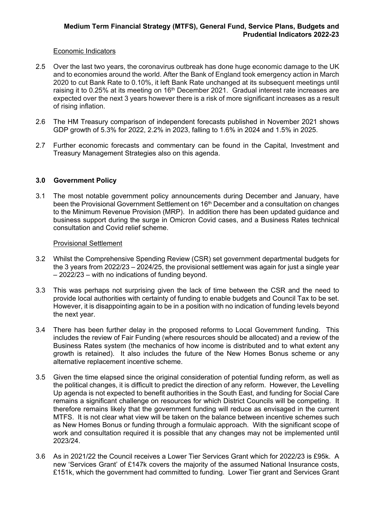#### Economic Indicators

- 2.5 Over the last two years, the coronavirus outbreak has done huge economic damage to the UK and to economies around the world. After the Bank of England took emergency action in March 2020 to cut Bank Rate to 0.10%, it left Bank Rate unchanged at its subsequent meetings until raising it to 0.25% at its meeting on 16<sup>th</sup> December 2021. Gradual interest rate increases are expected over the next 3 years however there is a risk of more significant increases as a result of rising inflation.
- 2.6 The HM Treasury comparison of independent forecasts published in November 2021 shows GDP growth of 5.3% for 2022, 2.2% in 2023, falling to 1.6% in 2024 and 1.5% in 2025.
- 2.7 Further economic forecasts and commentary can be found in the Capital, Investment and Treasury Management Strategies also on this agenda.

# **3.0 Government Policy**

3.1 The most notable government policy announcements during December and January, have been the Provisional Government Settlement on 16<sup>th</sup> December and a consultation on changes to the Minimum Revenue Provision (MRP). In addition there has been updated guidance and business support during the surge in Omicron Covid cases, and a Business Rates technical consultation and Covid relief scheme.

#### Provisional Settlement

- 3.2 Whilst the Comprehensive Spending Review (CSR) set government departmental budgets for the 3 years from 2022/23 – 2024/25, the provisional settlement was again for just a single year – 2022/23 – with no indications of funding beyond.
- 3.3 This was perhaps not surprising given the lack of time between the CSR and the need to provide local authorities with certainty of funding to enable budgets and Council Tax to be set. However, it is disappointing again to be in a position with no indication of funding levels beyond the next year.
- 3.4 There has been further delay in the proposed reforms to Local Government funding. This includes the review of Fair Funding (where resources should be allocated) and a review of the Business Rates system (the mechanics of how income is distributed and to what extent any growth is retained). It also includes the future of the New Homes Bonus scheme or any alternative replacement incentive scheme.
- 3.5 Given the time elapsed since the original consideration of potential funding reform, as well as the political changes, it is difficult to predict the direction of any reform. However, the Levelling Up agenda is not expected to benefit authorities in the South East, and funding for Social Care remains a significant challenge on resources for which District Councils will be competing. It therefore remains likely that the government funding will reduce as envisaged in the current MTFS. It is not clear what view will be taken on the balance between incentive schemes such as New Homes Bonus or funding through a formulaic approach. With the significant scope of work and consultation required it is possible that any changes may not be implemented until 2023/24.
- 3.6 As in 2021/22 the Council receives a Lower Tier Services Grant which for 2022/23 is £95k. A new 'Services Grant' of £147k covers the majority of the assumed National Insurance costs, £151k, which the government had committed to funding. Lower Tier grant and Services Grant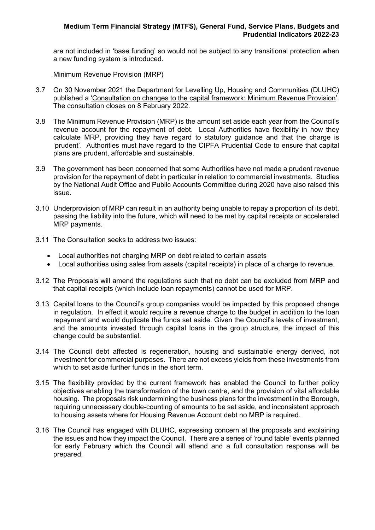are not included in 'base funding' so would not be subject to any transitional protection when a new funding system is introduced.

Minimum Revenue Provision (MRP)

- 3.7 On 30 November 2021 the Department for Levelling Up, Housing and Communities (DLUHC) published a ['Consultation](https://www.gov.uk/government/consultations/changes-to-the-capital-framework-minimum-revenue-provision/consultation-on-changes-to-the-capital-framework-minimum-revenue-provision) on changes to the capital framework: Minimum Revenue Provision'. The consultation closes on 8 February 2022.
- 3.8 The Minimum Revenue Provision (MRP) is the amount set aside each year from the Council's revenue account for the repayment of debt. Local Authorities have flexibility in how they calculate MRP, providing they have regard to statutory guidance and that the charge is 'prudent'. Authorities must have regard to the CIPFA Prudential Code to ensure that capital plans are prudent, affordable and sustainable.
- 3.9 The government has been concerned that some Authorities have not made a prudent revenue provision for the repayment of debt in particular in relation to commercial investments. Studies by the National Audit Office and Public Accounts Committee during 2020 have also raised this issue.
- 3.10 Underprovision of MRP can result in an authority being unable to repay a proportion of its debt, passing the liability into the future, which will need to be met by capital receipts or accelerated MRP payments.
- 3.11 The Consultation seeks to address two issues:
	- Local authorities not charging MRP on debt related to certain assets
	- Local authorities using sales from assets (capital receipts) in place of a charge to revenue.
- 3.12 The Proposals will amend the regulations such that no debt can be excluded from MRP and that capital receipts (which include loan repayments) cannot be used for MRP.
- 3.13 Capital loans to the Council's group companies would be impacted by this proposed change in regulation. In effect it would require a revenue charge to the budget in addition to the loan repayment and would duplicate the funds set aside. Given the Council's levels of investment, and the amounts invested through capital loans in the group structure, the impact of this change could be substantial.
- 3.14 The Council debt affected is regeneration, housing and sustainable energy derived, not investment for commercial purposes. There are not excess yields from these investments from which to set aside further funds in the short term.
- 3.15 The flexibility provided by the current framework has enabled the Council to further policy objectives enabling the transformation of the town centre, and the provision of vital affordable housing. The proposals risk undermining the business plans for the investment in the Borough, requiring unnecessary double-counting of amounts to be set aside, and inconsistent approach to housing assets where for Housing Revenue Account debt no MRP is required.
- 3.16 The Council has engaged with DLUHC, expressing concern at the proposals and explaining the issues and how they impact the Council. There are a series of 'round table' events planned for early February which the Council will attend and a full consultation response will be prepared.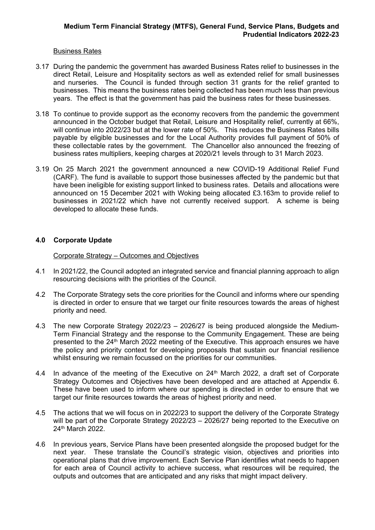### Business Rates

- 3.17 During the pandemic the government has awarded Business Rates relief to businesses in the direct Retail, Leisure and Hospitality sectors as well as extended relief for small businesses and nurseries. The Council is funded through section 31 grants for the relief granted to businesses. This means the business rates being collected has been much less than previous years. The effect is that the government has paid the business rates for these businesses.
- 3.18 To continue to provide support as the economy recovers from the pandemic the government announced in the October budget that Retail, Leisure and Hospitality relief, currently at 66%, will continue into 2022/23 but at the lower rate of 50%. This reduces the Business Rates bills payable by eligible businesses and for the Local Authority provides full payment of 50% of these collectable rates by the government. The Chancellor also announced the freezing of business rates multipliers, keeping charges at 2020/21 levels through to 31 March 2023.
- 3.19 On 25 March 2021 the government announced a new COVID-19 Additional Relief Fund (CARF). The fund is available to support those businesses affected by the pandemic but that have been ineligible for existing support linked to business rates. Details and allocations were announced on 15 December 2021 with Woking being allocated £3.163m to provide relief to businesses in 2021/22 which have not currently received support. A scheme is being developed to allocate these funds.

#### **4.0 Corporate Update**

Corporate Strategy – Outcomes and Objectives

- 4.1 In 2021/22, the Council adopted an integrated service and financial planning approach to align resourcing decisions with the priorities of the Council.
- 4.2 The Corporate Strategy sets the core priorities for the Council and informs where our spending is directed in order to ensure that we target our finite resources towards the areas of highest priority and need.
- 4.3 The new Corporate Strategy 2022/23 2026/27 is being produced alongside the Medium-Term Financial Strategy and the response to the Community Engagement. These are being presented to the 24<sup>th</sup> March 2022 meeting of the Executive. This approach ensures we have the policy and priority context for developing proposals that sustain our financial resilience whilst ensuring we remain focussed on the priorities for our communities.
- 4.4 In advance of the meeting of the Executive on 24<sup>th</sup> March 2022, a draft set of Corporate Strategy Outcomes and Objectives have been developed and are attached at Appendix 6. These have been used to inform where our spending is directed in order to ensure that we target our finite resources towards the areas of highest priority and need.
- 4.5 The actions that we will focus on in 2022/23 to support the delivery of the Corporate Strategy will be part of the Corporate Strategy 2022/23 – 2026/27 being reported to the Executive on 24th March 2022.
- 4.6 In previous years, Service Plans have been presented alongside the proposed budget for the next year. These translate the Council's strategic vision, objectives and priorities into operational plans that drive improvement. Each Service Plan identifies what needs to happen for each area of Council activity to achieve success, what resources will be required, the outputs and outcomes that are anticipated and any risks that might impact delivery.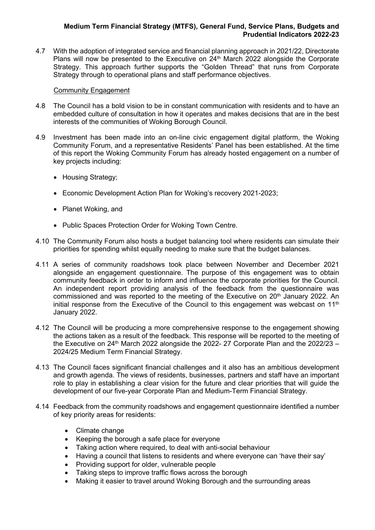4.7 With the adoption of integrated service and financial planning approach in 2021/22, Directorate Plans will now be presented to the Executive on 24<sup>th</sup> March 2022 alongside the Corporate Strategy. This approach further supports the "Golden Thread" that runs from Corporate Strategy through to operational plans and staff performance objectives.

### Community Engagement

- 4.8 The Council has a bold vision to be in constant communication with residents and to have an embedded culture of consultation in how it operates and makes decisions that are in the best interests of the communities of Woking Borough Council.
- 4.9 Investment has been made into an on-line civic engagement digital platform, the Woking Community Forum, and a representative Residents' Panel has been established. At the time of this report the Woking Community Forum has already hosted engagement on a number of key projects including:
	- Housing Strategy;
	- Economic Development Action Plan for Woking's recovery 2021-2023;
	- Planet Woking, and
	- Public Spaces Protection Order for Woking Town Centre.
- 4.10 The Community Forum also hosts a budget balancing tool where residents can simulate their priorities for spending whilst equally needing to make sure that the budget balances.
- 4.11 A series of community roadshows took place between November and December 2021 alongside an engagement questionnaire. The purpose of this engagement was to obtain community feedback in order to inform and influence the corporate priorities for the Council. An independent report providing analysis of the feedback from the questionnaire was commissioned and was reported to the meeting of the Executive on  $20<sup>th</sup>$  January 2022. An initial response from the Executive of the Council to this engagement was webcast on  $11<sup>th</sup>$ January 2022.
- 4.12 The Council will be producing a more comprehensive response to the engagement showing the actions taken as a result of the feedback. This response will be reported to the meeting of the Executive on 24<sup>th</sup> March 2022 alongside the 2022- 27 Corporate Plan and the 2022/23 – 2024/25 Medium Term Financial Strategy.
- 4.13 The Council faces significant financial challenges and it also has an ambitious development and growth agenda. The views of residents, businesses, partners and staff have an important role to play in establishing a clear vision for the future and clear priorities that will guide the development of our five-year Corporate Plan and Medium-Term Financial Strategy.
- 4.14 Feedback from the community roadshows and engagement questionnaire identified a number of key priority areas for residents:
	- Climate change
	- Keeping the borough a safe place for everyone
	- Taking action where required, to deal with anti-social behaviour
	- Having a council that listens to residents and where everyone can 'have their say'
	- Providing support for older, vulnerable people
	- Taking steps to improve traffic flows across the borough
	- Making it easier to travel around Woking Borough and the surrounding areas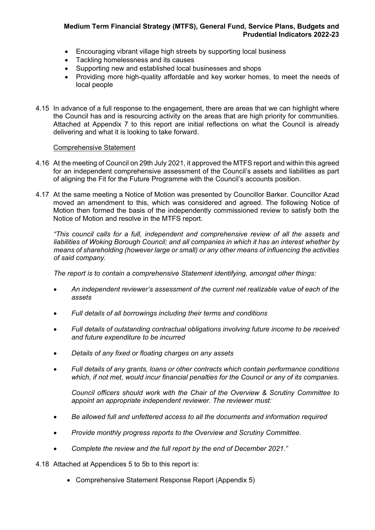- Encouraging vibrant village high streets by supporting local business
- Tackling homelessness and its causes
- Supporting new and established local businesses and shops
- Providing more high-quality affordable and key worker homes, to meet the needs of local people
- 4.15 In advance of a full response to the engagement, there are areas that we can highlight where the Council has and is resourcing activity on the areas that are high priority for communities. Attached at Appendix 7 to this report are initial reflections on what the Council is already delivering and what it is looking to take forward.

# Comprehensive Statement

- 4.16 At the meeting of Council on 29th July 2021, it approved the MTFS report and within this agreed for an independent comprehensive assessment of the Council's assets and liabilities as part of aligning the Fit for the Future Programme with the Council's accounts position.
- 4.17 At the same meeting a Notice of Motion was presented by Councillor Barker. Councillor Azad moved an amendment to this, which was considered and agreed. The following Notice of Motion then formed the basis of the independently commissioned review to satisfy both the Notice of Motion and resolve in the MTFS report.

*"This council calls for a full, independent and comprehensive review of all the assets and liabilities of Woking Borough Council; and all companies in which it has an interest whether by means of shareholding (however large or small) or any other means of influencing the activities of said company.*

*The report is to contain a comprehensive Statement identifying, amongst other things:*

- *An independent reviewer's assessment of the current net realizable value of each of the assets*
- *Full details of all borrowings including their terms and conditions*
- *Full details of outstanding contractual obligations involving future income to be received and future expenditure to be incurred*
- *Details of any fixed or floating charges on any assets*
- *Full details of any grants, loans or other contracts which contain performance conditions which, if not met, would incur financial penalties for the Council or any of its companies.*

*Council officers should work with the Chair of the Overview & Scrutiny Committee to appoint an appropriate independent reviewer. The reviewer must:*

- *Be allowed full and unfettered access to all the documents and information required*
- *Provide monthly progress reports to the Overview and Scrutiny Committee.*
- *Complete the review and the full report by the end of December 2021."*

4.18 Attached at Appendices 5 to 5b to this report is:

Comprehensive Statement Response Report (Appendix 5)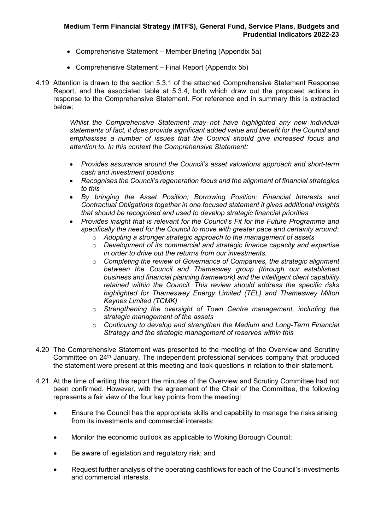- Comprehensive Statement Member Briefing (Appendix 5a)
- Comprehensive Statement Final Report (Appendix 5b)
- 4.19 Attention is drawn to the section 5.3.1 of the attached Comprehensive Statement Response Report, and the associated table at 5.3.4, both which draw out the proposed actions in response to the Comprehensive Statement. For reference and in summary this is extracted below:

*Whilst the Comprehensive Statement may not have highlighted any new individual statements of fact, it does provide significant added value and benefit for the Council and emphasises a number of issues that the Council should give increased focus and attention to. In this context the Comprehensive Statement:*

- *Provides assurance around the Council's asset valuations approach and short-term cash and investment positions*
- *Recognises the Council's regeneration focus and the alignment of financial strategies to this*
- *By bringing the Asset Position; Borrowing Position; Financial Interests and Contractual Obligations together in one focused statement it gives additional insights that should be recognised and used to develop strategic financial priorities*
- *Provides insight that is relevant for the Council's Fit for the Future Programme and specifically the need for the Council to move with greater pace and certainty around:*
	- o *Adopting a stronger strategic approach to the management of assets*
	- o *Development of its commercial and strategic finance capacity and expertise in order to drive out the returns from our investments.*
	- o *Completing the review of Governance of Companies, the strategic alignment between the Council and Thameswey group (through our established business and financial planning framework) and the intelligent client capability retained within the Council. This review should address the specific risks highlighted for Thameswey Energy Limited (TEL) and Thameswey Milton Keynes Limited (TCMK)*
	- o *Strengthening the oversight of Town Centre management, including the strategic management of the assets*
	- o *Continuing to develop and strengthen the Medium and Long-Term Financial Strategy and the strategic management of reserves within this*
- 4.20 The Comprehensive Statement was presented to the meeting of the Overview and Scrutiny Committee on 24<sup>th</sup> January. The independent professional services company that produced the statement were present at this meeting and took questions in relation to their statement.
- 4.21 At the time of writing this report the minutes of the Overview and Scrutiny Committee had not been confirmed. However, with the agreement of the Chair of the Committee, the following represents a fair view of the four key points from the meeting:
	- Ensure the Council has the appropriate skills and capability to manage the risks arising from its investments and commercial interests;
	- Monitor the economic outlook as applicable to Woking Borough Council;
	- Be aware of legislation and regulatory risk; and
	- Request further analysis of the operating cashflows for each of the Council's investments and commercial interests.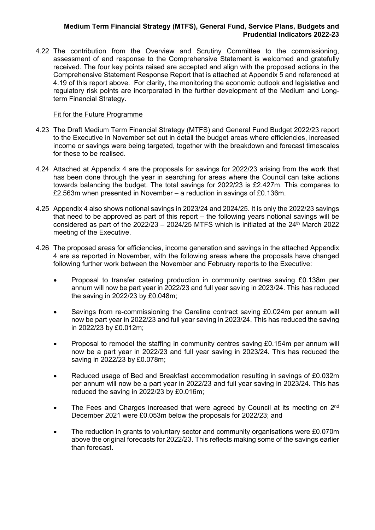4.22 The contribution from the Overview and Scrutiny Committee to the commissioning, assessment of and response to the Comprehensive Statement is welcomed and gratefully received. The four key points raised are accepted and align with the proposed actions in the Comprehensive Statement Response Report that is attached at Appendix 5 and referenced at 4.19 of this report above. For clarity, the monitoring the economic outlook and legislative and regulatory risk points are incorporated in the further development of the Medium and Longterm Financial Strategy.

### Fit for the Future Programme

- 4.23 The Draft Medium Term Financial Strategy (MTFS) and General Fund Budget 2022/23 report to the Executive in November set out in detail the budget areas where efficiencies, increased income or savings were being targeted, together with the breakdown and forecast timescales for these to be realised.
- 4.24 Attached at Appendix 4 are the proposals for savings for 2022/23 arising from the work that has been done through the year in searching for areas where the Council can take actions towards balancing the budget. The total savings for 2022/23 is £2.427m. This compares to £2.563m when presented in November – a reduction in savings of £0.136m.
- 4.25 Appendix 4 also shows notional savings in 2023/24 and 2024/25. It is only the 2022/23 savings that need to be approved as part of this report – the following years notional savings will be considered as part of the  $2022/23 - 2024/25$  MTFS which is initiated at the  $24<sup>th</sup>$  March 2022 meeting of the Executive.
- 4.26 The proposed areas for efficiencies, income generation and savings in the attached Appendix 4 are as reported in November, with the following areas where the proposals have changed following further work between the November and February reports to the Executive:
	- Proposal to transfer catering production in community centres saving £0.138m per annum will now be part year in 2022/23 and full year saving in 2023/24. This has reduced the saving in 2022/23 by £0.048m;
	- Savings from re-commissioning the Careline contract saving £0.024m per annum will now be part year in 2022/23 and full year saving in 2023/24. This has reduced the saving in 2022/23 by £0.012m;
	- Proposal to remodel the staffing in community centres saving £0.154m per annum will now be a part year in 2022/23 and full year saving in 2023/24. This has reduced the saving in 2022/23 by £0.078m;
	- Reduced usage of Bed and Breakfast accommodation resulting in savings of £0.032m per annum will now be a part year in 2022/23 and full year saving in 2023/24. This has reduced the saving in 2022/23 by £0.016m;
	- The Fees and Charges increased that were agreed by Council at its meeting on 2<sup>nd</sup> December 2021 were £0.053m below the proposals for 2022/23; and
	- The reduction in grants to voluntary sector and community organisations were £0.070m above the original forecasts for 2022/23. This reflects making some of the savings earlier than forecast.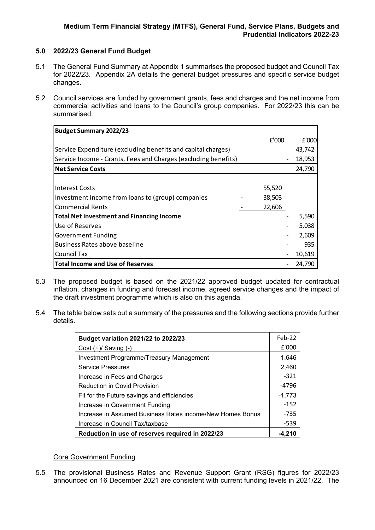# **5.0 2022/23 General Fund Budget**

- 5.1 The General Fund Summary at Appendix 1 summarises the proposed budget and Council Tax for 2022/23. Appendix 2A details the general budget pressures and specific service budget changes.
- 5.2 Council services are funded by government grants, fees and charges and the net income from commercial activities and loans to the Council's group companies. For 2022/23 this can be summarised:

| <b>Budget Summary 2022/23</b>                                  |        |        |
|----------------------------------------------------------------|--------|--------|
|                                                                | E'000  | £'000  |
| Service Expenditure (excluding benefits and capital charges)   |        | 43,742 |
| Service Income - Grants, Fees and Charges (excluding benefits) |        | 18,953 |
| <b>INet Service Costs</b>                                      |        | 24,790 |
|                                                                |        |        |
| Interest Costs                                                 | 55,520 |        |
| Investment Income from loans to (group) companies              | 38,503 |        |
| <b>Commercial Rents</b>                                        | 22,606 |        |
| <b>Total Net Investment and Financing Income</b>               |        | 5,590  |
| Use of Reserves                                                |        | 5,038  |
| <b>Government Funding</b>                                      |        | 2,609  |
| Business Rates above baseline                                  |        | 935    |
| Council Tax                                                    |        | 10,619 |
| Total Income and Use of Reserves                               |        | 24,790 |

- 5.3 The proposed budget is based on the 2021/22 approved budget updated for contractual inflation, changes in funding and forecast income, agreed service changes and the impact of the draft investment programme which is also on this agenda.
- 5.4 The table below sets out a summary of the pressures and the following sections provide further details.

| Budget variation 2021/22 to 2022/23                       |          |  |
|-----------------------------------------------------------|----------|--|
| Cost $(+)/$ Saving $(-)$                                  | £'000    |  |
| Investment Programme/Treasury Management                  | 1,646    |  |
| <b>Service Pressures</b>                                  | 2,460    |  |
| Increase in Fees and Charges                              | $-321$   |  |
| <b>Reduction in Covid Provision</b>                       | $-4796$  |  |
| Fit for the Future savings and efficiencies               | $-1,773$ |  |
| Increase in Government Funding                            | $-152$   |  |
| Increase in Assumed Business Rates income/New Homes Bonus | $-735$   |  |
| Increase in Council Tax/taxbase                           |          |  |
| Reduction in use of reserves required in 2022/23          |          |  |

# Core Government Funding

5.5 The provisional Business Rates and Revenue Support Grant (RSG) figures for 2022/23 announced on 16 December 2021 are consistent with current funding levels in 2021/22. The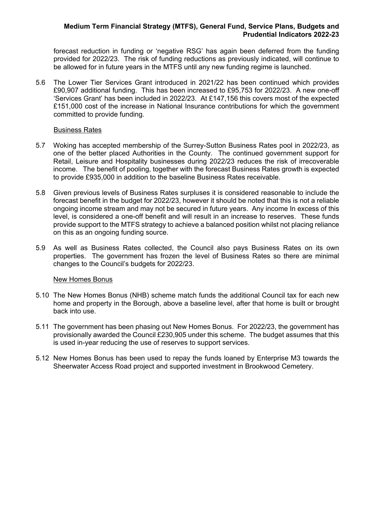forecast reduction in funding or 'negative RSG' has again been deferred from the funding provided for 2022/23. The risk of funding reductions as previously indicated, will continue to be allowed for in future years in the MTFS until any new funding regime is launched.

5.6 The Lower Tier Services Grant introduced in 2021/22 has been continued which provides £90,907 additional funding. This has been increased to £95,753 for 2022/23. A new one-off 'Services Grant' has been included in 2022/23. At £147,156 this covers most of the expected £151,000 cost of the increase in National Insurance contributions for which the government committed to provide funding.

#### Business Rates

- 5.7 Woking has accepted membership of the Surrey-Sutton Business Rates pool in 2022/23, as one of the better placed Authorities in the County. The continued government support for Retail, Leisure and Hospitality businesses during 2022/23 reduces the risk of irrecoverable income. The benefit of pooling, together with the forecast Business Rates growth is expected to provide £935,000 in addition to the baseline Business Rates receivable.
- 5.8 Given previous levels of Business Rates surpluses it is considered reasonable to include the forecast benefit in the budget for 2022/23, however it should be noted that this is not a reliable ongoing income stream and may not be secured in future years. Any income In excess of this level, is considered a one-off benefit and will result in an increase to reserves. These funds provide support to the MTFS strategy to achieve a balanced position whilst not placing reliance on this as an ongoing funding source.
- 5.9 As well as Business Rates collected, the Council also pays Business Rates on its own properties. The government has frozen the level of Business Rates so there are minimal changes to the Council's budgets for 2022/23.

#### New Homes Bonus

- 5.10 The New Homes Bonus (NHB) scheme match funds the additional Council tax for each new home and property in the Borough, above a baseline level, after that home is built or brought back into use.
- 5.11 The government has been phasing out New Homes Bonus. For 2022/23, the government has provisionally awarded the Council £230,905 under this scheme. The budget assumes that this is used in-year reducing the use of reserves to support services.
- 5.12 New Homes Bonus has been used to repay the funds loaned by Enterprise M3 towards the Sheerwater Access Road project and supported investment in Brookwood Cemetery.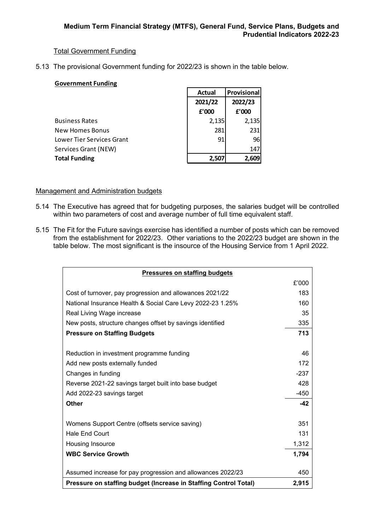# Total Government Funding

5.13 The provisional Government funding for 2022/23 is shown in the table below.

# **Government Funding**

|                           | <b>Actual</b> | Provisional |
|---------------------------|---------------|-------------|
|                           | 2021/22       | 2022/23     |
|                           | £'000         | £'000       |
| <b>Business Rates</b>     | 2,135         | 2,135       |
| <b>New Homes Bonus</b>    | 281           | 231         |
| Lower Tier Services Grant | 91            | 96          |
| Services Grant (NEW)      |               | 147         |
| <b>Total Funding</b>      | 2,507         | 2,609       |

# Management and Administration budgets

- 5.14 The Executive has agreed that for budgeting purposes, the salaries budget will be controlled within two parameters of cost and average number of full time equivalent staff.
- 5.15 The Fit for the Future savings exercise has identified a number of posts which can be removed from the establishment for 2022/23. Other variations to the 2022/23 budget are shown in the table below. The most significant is the insource of the Housing Service from 1 April 2022.

| <b>Pressures on staffing budgets</b>                             |        |
|------------------------------------------------------------------|--------|
|                                                                  | £'000  |
| Cost of turnover, pay progression and allowances 2021/22         | 183    |
| National Insurance Health & Social Care Levy 2022-23 1.25%       | 160    |
| Real Living Wage increase                                        | 35     |
| New posts, structure changes offset by savings identified        | 335    |
| <b>Pressure on Staffing Budgets</b>                              | 713    |
|                                                                  |        |
| Reduction in investment programme funding                        | 46     |
| Add new posts externally funded                                  | 172    |
| Changes in funding                                               | $-237$ |
| Reverse 2021-22 savings target built into base budget            | 428    |
| Add 2022-23 savings target                                       | $-450$ |
| <b>Other</b>                                                     | $-42$  |
|                                                                  |        |
| Womens Support Centre (offsets service saving)                   | 351    |
| Hale End Court                                                   | 131    |
| Housing Insource                                                 | 1,312  |
| <b>WBC Service Growth</b>                                        | 1,794  |
|                                                                  |        |
| Assumed increase for pay progression and allowances 2022/23      | 450    |
| Pressure on staffing budget (Increase in Staffing Control Total) | 2,915  |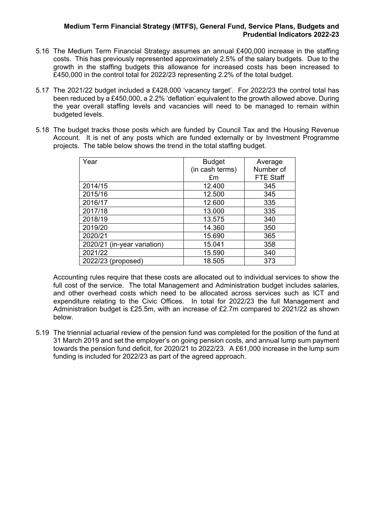- 5.16 The Medium Term Financial Strategy assumes an annual £400,000 increase in the staffing costs. This has previously represented approximately 2.5% of the salary budgets. Due to the growth in the staffing budgets this allowance for increased costs has been increased to £450,000 in the control total for 2022/23 representing 2.2% of the total budget.
- 5.17 The 2021/22 budget included a £428,000 'vacancy target'. For 2022/23 the control total has been reduced by a £450,000, a 2.2% 'deflation' equivalent to the growth allowed above. During the year overall staffing levels and vacancies will need to be managed to remain within budgeted levels.
- 5.18 The budget tracks those posts which are funded by Council Tax and the Housing Revenue Account. It is net of any posts which are funded externally or by Investment Programme projects. The table below shows the trend in the total staffing budget.

| Year                        | <b>Budget</b>   | Average          |
|-----------------------------|-----------------|------------------|
|                             | (in cash terms) | Number of        |
|                             | £m              | <b>FTE Staff</b> |
| 2014/15                     | 12.400          | 345              |
| 2015/16                     | 12.500          | 345              |
| 2016/17                     | 12.600          | 335              |
| 2017/18                     | 13.000          | 335              |
| 2018/19                     | 13.575          | 340              |
| 2019/20                     | 14.360          | 350              |
| 2020/21                     | 15.690          | 365              |
| 2020/21 (in-year variation) | 15.041          | 358              |
| 2021/22                     | 15.590          | 340              |
| 2022/23 (proposed)          | 18.505          | 373              |

Accounting rules require that these costs are allocated out to individual services to show the full cost of the service. The total Management and Administration budget includes salaries, and other overhead costs which need to be allocated across services such as ICT and expenditure relating to the Civic Offices. In total for 2022/23 the full Management and Administration budget is £25.5m, with an increase of £2.7m compared to 2021/22 as shown below.

5.19 The triennial actuarial review of the pension fund was completed for the position of the fund at 31 March 2019 and set the employer's on going pension costs, and annual lump sum payment towards the pension fund deficit, for 2020/21 to 2022/23. A £61,000 increase in the lump sum funding is included for 2022/23 as part of the agreed approach.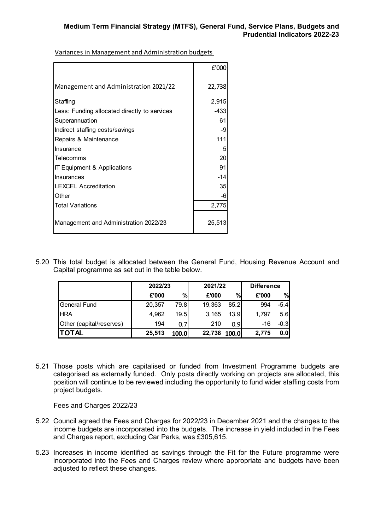£'000 Management and Administration 2021/22 | 22,738 Staffing 2,915 Less: Funding allocated directly to services and the 433 Superannuation 61 Indirect staffing costs/savings and the state of the state of the state of the state of the state of the state of the state of the state of the state of the state of the state of the state of the state of the state of the Repairs & Maintenance 1111 Insurance 5 Telecomms 20 IT Equipment & Applications 91 Insurances and the set of the set of the set of the set of the set of the set of the set of the set of the set of the set of the set of the set of the set of the set of the set of the set of the set of the set of the set o LEXCEL Accreditation 35 Other -6 and -6 and -6 and -6 and -6 and -6 and -6 and -6 and -6 and -6 and -6 and -6 and -6 and -6 Total Variations 2,775 Management and Administration 2022/23 1 25,513

Variances in Management and Administration budgets

5.20 This total budget is allocated between the General Fund, Housing Revenue Account and Capital programme as set out in the table below.

|                          | 2022/23 |       | 2021/22 |              | <b>Difference</b> |        |
|--------------------------|---------|-------|---------|--------------|-------------------|--------|
|                          | £'000   | $\%$  | £'000   | %            | £'000             | %      |
| General Fund             | 20,357  | 79.8  | 19,363  | 85.2         | 994               | $-5.4$ |
| <b>HRA</b>               | 4.962   | 19.5I | 3,165   | 13.9         | 1.797             | 5.6    |
| Other (capital/reserves) | 194     | 0.7   | 210     | 0.9          | $-16$             | $-0.3$ |
| <b>ITOTAL</b>            | 25,513  | 100.0 | 22,738  | <b>100.0</b> | 2.775             | 0.0    |

5.21 Those posts which are capitalised or funded from Investment Programme budgets are categorised as externally funded. Only posts directly working on projects are allocated, this position will continue to be reviewed including the opportunity to fund wider staffing costs from project budgets.

Fees and Charges 2022/23

- 5.22 Council agreed the Fees and Charges for 2022/23 in December 2021 and the changes to the income budgets are incorporated into the budgets. The increase in yield included in the Fees and Charges report, excluding Car Parks, was £305,615.
- 5.23 Increases in income identified as savings through the Fit for the Future programme were incorporated into the Fees and Charges review where appropriate and budgets have been adjusted to reflect these changes.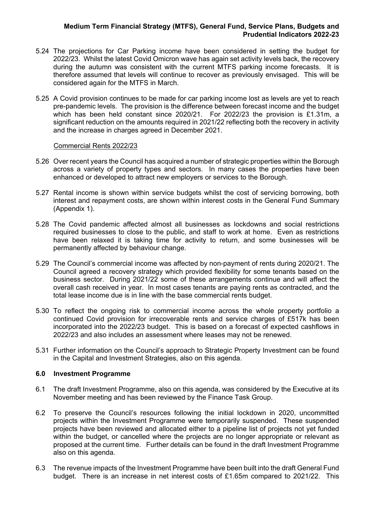- 5.24 The projections for Car Parking income have been considered in setting the budget for 2022/23. Whilst the latest Covid Omicron wave has again set activity levels back, the recovery during the autumn was consistent with the current MTFS parking income forecasts. It is therefore assumed that levels will continue to recover as previously envisaged. This will be considered again for the MTFS in March.
- 5.25 A Covid provision continues to be made for car parking income lost as levels are yet to reach pre-pandemic levels. The provision is the difference between forecast income and the budget which has been held constant since 2020/21. For 2022/23 the provision is £1.31m, a significant reduction on the amounts required in 2021/22 reflecting both the recovery in activity and the increase in charges agreed in December 2021.

#### Commercial Rents 2022/23

- 5.26 Over recent years the Council has acquired a number of strategic properties within the Borough across a variety of property types and sectors. In many cases the properties have been enhanced or developed to attract new employers or services to the Borough.
- 5.27 Rental income is shown within service budgets whilst the cost of servicing borrowing, both interest and repayment costs, are shown within interest costs in the General Fund Summary (Appendix 1).
- 5.28 The Covid pandemic affected almost all businesses as lockdowns and social restrictions required businesses to close to the public, and staff to work at home. Even as restrictions have been relaxed it is taking time for activity to return, and some businesses will be permanently affected by behaviour change.
- 5.29 The Council's commercial income was affected by non-payment of rents during 2020/21. The Council agreed a recovery strategy which provided flexibility for some tenants based on the business sector. During 2021/22 some of these arrangements continue and will affect the overall cash received in year. In most cases tenants are paying rents as contracted, and the total lease income due is in line with the base commercial rents budget.
- 5.30 To reflect the ongoing risk to commercial income across the whole property portfolio a continued Covid provision for irrecoverable rents and service charges of £517k has been incorporated into the 2022/23 budget. This is based on a forecast of expected cashflows in 2022/23 and also includes an assessment where leases may not be renewed.
- 5.31 Further information on the Council's approach to Strategic Property Investment can be found in the Capital and Investment Strategies, also on this agenda.

# **6.0 Investment Programme**

- 6.1 The draft Investment Programme, also on this agenda, was considered by the Executive at its November meeting and has been reviewed by the Finance Task Group.
- 6.2 To preserve the Council's resources following the initial lockdown in 2020, uncommitted projects within the Investment Programme were temporarily suspended. These suspended projects have been reviewed and allocated either to a pipeline list of projects not yet funded within the budget, or cancelled where the projects are no longer appropriate or relevant as proposed at the current time. Further details can be found in the draft Investment Programme also on this agenda.
- 6.3 The revenue impacts of the Investment Programme have been built into the draft General Fund budget. There is an increase in net interest costs of £1.65m compared to 2021/22. This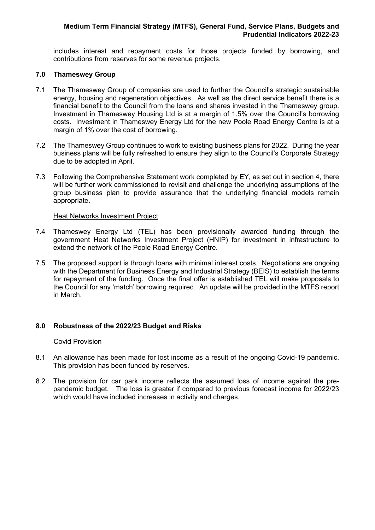includes interest and repayment costs for those projects funded by borrowing, and contributions from reserves for some revenue projects.

#### **7.0 Thameswey Group**

- 7.1 The Thameswey Group of companies are used to further the Council's strategic sustainable energy, housing and regeneration objectives. As well as the direct service benefit there is a financial benefit to the Council from the loans and shares invested in the Thameswey group. Investment in Thameswey Housing Ltd is at a margin of 1.5% over the Council's borrowing costs. Investment in Thameswey Energy Ltd for the new Poole Road Energy Centre is at a margin of 1% over the cost of borrowing.
- 7.2 The Thameswey Group continues to work to existing business plans for 2022. During the year business plans will be fully refreshed to ensure they align to the Council's Corporate Strategy due to be adopted in April.
- 7.3 Following the Comprehensive Statement work completed by EY, as set out in section 4, there will be further work commissioned to revisit and challenge the underlying assumptions of the group business plan to provide assurance that the underlying financial models remain appropriate.

#### Heat Networks Investment Project

- 7.4 Thameswey Energy Ltd (TEL) has been provisionally awarded funding through the government Heat Networks Investment Project (HNIP) for investment in infrastructure to extend the network of the Poole Road Energy Centre.
- 7.5 The proposed support is through loans with minimal interest costs. Negotiations are ongoing with the Department for Business Energy and Industrial Strategy (BEIS) to establish the terms for repayment of the funding. Once the final offer is established TEL will make proposals to the Council for any 'match' borrowing required. An update will be provided in the MTFS report in March.

# **8.0 Robustness of the 2022/23 Budget and Risks**

#### Covid Provision

- 8.1 An allowance has been made for lost income as a result of the ongoing Covid-19 pandemic. This provision has been funded by reserves.
- 8.2 The provision for car park income reflects the assumed loss of income against the prepandemic budget. The loss is greater if compared to previous forecast income for 2022/23 which would have included increases in activity and charges.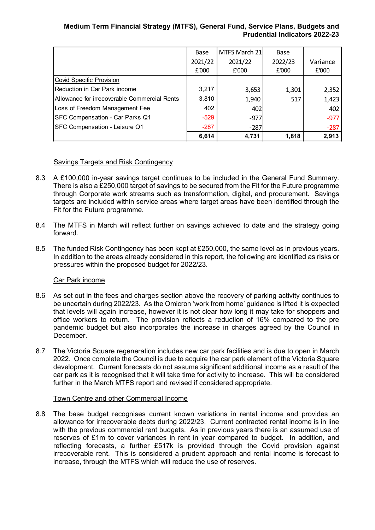|                                              | Base    | MTFS March 21 | <b>Base</b> |          |
|----------------------------------------------|---------|---------------|-------------|----------|
|                                              | 2021/22 | 2021/22       | 2022/23     | Variance |
|                                              | £'000   | £'000         | £'000       | £'000    |
| Covid Specific Provision                     |         |               |             |          |
| Reduction in Car Park income                 | 3,217   | 3,653         | 1,301       | 2,352    |
| Allowance for irrecoverable Commercial Rents | 3,810   | 1,940         | 517         | 1,423    |
| Loss of Freedom Management Fee               | 402     | 402           |             | 402      |
| <b>SFC Compensation - Car Parks Q1</b>       | $-529$  | $-977$        |             | $-977$   |
| <b>SFC Compensation - Leisure Q1</b>         | $-287$  | $-287$        |             | $-287$   |
|                                              | 6,614   | 4,731         | 1,818       | 2,913    |

# Savings Targets and Risk Contingency

- 8.3 A £100,000 in-year savings target continues to be included in the General Fund Summary. There is also a £250,000 target of savings to be secured from the Fit for the Future programme through Corporate work streams such as transformation, digital, and procurement. Savings targets are included within service areas where target areas have been identified through the Fit for the Future programme.
- 8.4 The MTFS in March will reflect further on savings achieved to date and the strategy going forward.
- 8.5 The funded Risk Contingency has been kept at £250,000, the same level as in previous years. In addition to the areas already considered in this report, the following are identified as risks or pressures within the proposed budget for 2022/23.

# Car Park income

- 8.6 As set out in the fees and charges section above the recovery of parking activity continues to be uncertain during 2022/23. As the Omicron 'work from home' guidance is lifted it is expected that levels will again increase, however it is not clear how long it may take for shoppers and office workers to return. The provision reflects a reduction of 16% compared to the pre pandemic budget but also incorporates the increase in charges agreed by the Council in **December**
- 8.7 The Victoria Square regeneration includes new car park facilities and is due to open in March 2022. Once complete the Council is due to acquire the car park element of the Victoria Square development. Current forecasts do not assume significant additional income as a result of the car park as it is recognised that it will take time for activity to increase. This will be considered further in the March MTFS report and revised if considered appropriate.

# Town Centre and other Commercial Income

8.8 The base budget recognises current known variations in rental income and provides an allowance for irrecoverable debts during 2022/23. Current contracted rental income is in line with the previous commercial rent budgets. As in previous years there is an assumed use of reserves of £1m to cover variances in rent in year compared to budget. In addition, and reflecting forecasts, a further £517k is provided through the Covid provision against irrecoverable rent. This is considered a prudent approach and rental income is forecast to increase, through the MTFS which will reduce the use of reserves.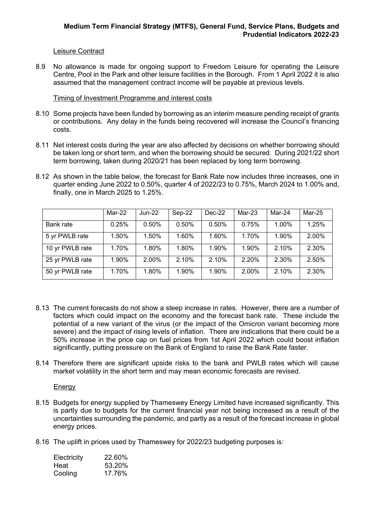### Leisure Contract

8.9 No allowance is made for ongoing support to Freedom Leisure for operating the Leisure Centre, Pool in the Park and other leisure facilities in the Borough. From 1 April 2022 it is also assumed that the management contract income will be payable at previous levels.

### Timing of Investment Programme and interest costs

- 8.10 Some projects have been funded by borrowing as an interim measure pending receipt of grants or contributions. Any delay in the funds being recovered will increase the Council's financing costs.
- 8.11 Net interest costs during the year are also affected by decisions on whether borrowing should be taken long or short term, and when the borrowing should be secured. During 2021/22 short term borrowing, taken during 2020/21 has been replaced by long term borrowing.
- 8.12 As shown in the table below, the forecast for Bank Rate now includes three increases, one in quarter ending June 2022 to 0.50%, quarter 4 of 2022/23 to 0.75%, March 2024 to 1.00% and, finally, one in March 2025 to 1.25%.

|                 | Mar-22 | $Jun-22$ | Sep-22   | $Dec-22$ | Mar-23 | Mar-24 | Mar-25 |
|-----------------|--------|----------|----------|----------|--------|--------|--------|
| Bank rate       | 0.25%  | 0.50%    | $0.50\%$ | $0.50\%$ | 0.75%  | 1.00%  | 1.25%  |
| 5 yr PWLB rate  | 1.50%  | 1.50%    | 1.60%    | 1.60%    | 1.70%  | 1.90%  | 2.00%  |
| 10 yr PWLB rate | 1.70%  | 1.80%    | 1.80%    | 1.90%    | 1.90%  | 2.10%  | 2.30%  |
| 25 yr PWLB rate | 1.90%  | 2.00%    | 2.10%    | 2.10%    | 2.20%  | 2.30%  | 2.50%  |
| 50 yr PWLB rate | 1.70%  | 1.80%    | 1.90%    | 1.90%    | 2.00%  | 2.10%  | 2.30%  |

- 8.13 The current forecasts do not show a steep increase in rates. However, there are a number of factors which could impact on the economy and the forecast bank rate. These include the potential of a new variant of the virus (or the impact of the Omicron variant becoming more severe) and the impact of rising levels of inflation. There are indications that there could be a 50% increase in the price cap on fuel prices from 1st April 2022 which could boost inflation significantly, putting pressure on the Bank of England to raise the Bank Rate faster.
- 8.14 Therefore there are significant upside risks to the bank and PWLB rates which will cause market volatility in the short term and may mean economic forecasts are revised.

**Energy** 

- 8.15 Budgets for energy supplied by Thameswey Energy Limited have increased significantly. This is partly due to budgets for the current financial year not being increased as a result of the uncertainties surrounding the pandemic, and partly as a result of the forecast increase in global energy prices.
- 8.16 The uplift in prices used by Thameswey for 2022/23 budgeting purposes is:

| Electricity | 22.60% |
|-------------|--------|
| Heat        | 53.20% |
| Cooling     | 17.76% |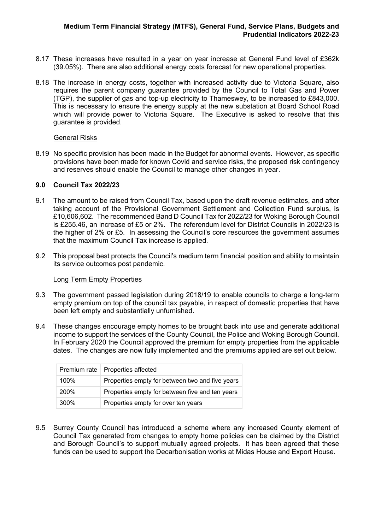- 8.17 These increases have resulted in a year on year increase at General Fund level of £362k (39.05%). There are also additional energy costs forecast for new operational properties.
- 8.18 The increase in energy costs, together with increased activity due to Victoria Square, also requires the parent company guarantee provided by the Council to Total Gas and Power (TGP), the supplier of gas and top-up electricity to Thameswey, to be increased to £843,000. This is necessary to ensure the energy supply at the new substation at Board School Road which will provide power to Victoria Square. The Executive is asked to resolve that this guarantee is provided.

#### General Risks

8.19 No specific provision has been made in the Budget for abnormal events. However, as specific provisions have been made for known Covid and service risks, the proposed risk contingency and reserves should enable the Council to manage other changes in year.

### **9.0 Council Tax 2022/23**

- 9.1 The amount to be raised from Council Tax, based upon the draft revenue estimates, and after taking account of the Provisional Government Settlement and Collection Fund surplus, is £10,606,602. The recommended Band D Council Tax for 2022/23 for Woking Borough Council is £255.46, an increase of £5 or 2%. The referendum level for District Councils in 2022/23 is the higher of 2% or £5. In assessing the Council's core resources the government assumes that the maximum Council Tax increase is applied.
- 9.2 This proposal best protects the Council's medium term financial position and ability to maintain its service outcomes post pandemic.

#### Long Term Empty Properties

- 9.3 The government passed legislation during 2018/19 to enable councils to charge a long-term empty premium on top of the council tax payable, in respect of domestic properties that have been left empty and substantially unfurnished.
- 9.4 These changes encourage empty homes to be brought back into use and generate additional income to support the services of the County Council, the Police and Woking Borough Council. In February 2020 the Council approved the premium for empty properties from the applicable dates. The changes are now fully implemented and the premiums applied are set out below.

|      | Premium rate   Properties affected              |
|------|-------------------------------------------------|
| 100% | Properties empty for between two and five years |
| 200% | Properties empty for between five and ten years |
| 300% | Properties empty for over ten years             |

9.5 Surrey County Council has introduced a scheme where any increased County element of Council Tax generated from changes to empty home policies can be claimed by the District and Borough Council's to support mutually agreed projects. It has been agreed that these funds can be used to support the Decarbonisation works at Midas House and Export House.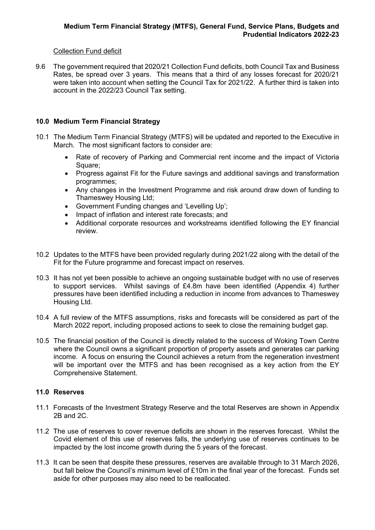# Collection Fund deficit

9.6 The government required that 2020/21 Collection Fund deficits, both Council Tax and Business Rates, be spread over 3 years. This means that a third of any losses forecast for 2020/21 were taken into account when setting the Council Tax for 2021/22. A further third is taken into account in the 2022/23 Council Tax setting.

# **10.0 Medium Term Financial Strategy**

- 10.1 The Medium Term Financial Strategy (MTFS) will be updated and reported to the Executive in March. The most significant factors to consider are:
	- Rate of recovery of Parking and Commercial rent income and the impact of Victoria Square;
	- Progress against Fit for the Future savings and additional savings and transformation programmes;
	- Any changes in the Investment Programme and risk around draw down of funding to Thameswey Housing Ltd;
	- Government Funding changes and 'Levelling Up';
	- Impact of inflation and interest rate forecasts; and
	- Additional corporate resources and workstreams identified following the EY financial review.
- 10.2 Updates to the MTFS have been provided regularly during 2021/22 along with the detail of the Fit for the Future programme and forecast impact on reserves.
- 10.3 It has not yet been possible to achieve an ongoing sustainable budget with no use of reserves to support services. Whilst savings of £4.8m have been identified (Appendix 4) further pressures have been identified including a reduction in income from advances to Thameswey Housing Ltd.
- 10.4 A full review of the MTFS assumptions, risks and forecasts will be considered as part of the March 2022 report, including proposed actions to seek to close the remaining budget gap.
- 10.5 The financial position of the Council is directly related to the success of Woking Town Centre where the Council owns a significant proportion of property assets and generates car parking income. A focus on ensuring the Council achieves a return from the regeneration investment will be important over the MTFS and has been recognised as a key action from the EY Comprehensive Statement.

# **11.0 Reserves**

- 11.1 Forecasts of the Investment Strategy Reserve and the total Reserves are shown in Appendix 2B and 2C.
- 11.2 The use of reserves to cover revenue deficits are shown in the reserves forecast. Whilst the Covid element of this use of reserves falls, the underlying use of reserves continues to be impacted by the lost income growth during the 5 years of the forecast.
- 11.3 It can be seen that despite these pressures, reserves are available through to 31 March 2026, but fall below the Council's minimum level of £10m in the final year of the forecast. Funds set aside for other purposes may also need to be reallocated.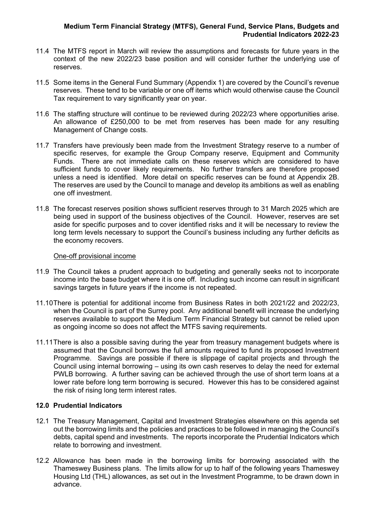- 11.4 The MTFS report in March will review the assumptions and forecasts for future years in the context of the new 2022/23 base position and will consider further the underlying use of reserves.
- 11.5 Some items in the General Fund Summary (Appendix 1) are covered by the Council's revenue reserves. These tend to be variable or one off items which would otherwise cause the Council Tax requirement to vary significantly year on year.
- 11.6 The staffing structure will continue to be reviewed during 2022/23 where opportunities arise. An allowance of £250,000 to be met from reserves has been made for any resulting Management of Change costs.
- 11.7 Transfers have previously been made from the Investment Strategy reserve to a number of specific reserves, for example the Group Company reserve, Equipment and Community Funds. There are not immediate calls on these reserves which are considered to have sufficient funds to cover likely requirements. No further transfers are therefore proposed unless a need is identified. More detail on specific reserves can be found at Appendix 2B. The reserves are used by the Council to manage and develop its ambitions as well as enabling one off investment.
- 11.8 The forecast reserves position shows sufficient reserves through to 31 March 2025 which are being used in support of the business objectives of the Council. However, reserves are set aside for specific purposes and to cover identified risks and it will be necessary to review the long term levels necessary to support the Council's business including any further deficits as the economy recovers.

#### One-off provisional income

- 11.9 The Council takes a prudent approach to budgeting and generally seeks not to incorporate income into the base budget where it is one off. Including such income can result in significant savings targets in future years if the income is not repeated.
- 11.10There is potential for additional income from Business Rates in both 2021/22 and 2022/23, when the Council is part of the Surrey pool. Any additional benefit will increase the underlying reserves available to support the Medium Term Financial Strategy but cannot be relied upon as ongoing income so does not affect the MTFS saving requirements.
- 11.11There is also a possible saving during the year from treasury management budgets where is assumed that the Council borrows the full amounts required to fund its proposed Investment Programme. Savings are possible if there is slippage of capital projects and through the Council using internal borrowing – using its own cash reserves to delay the need for external PWLB borrowing. A further saving can be achieved through the use of short term loans at a lower rate before long term borrowing is secured. However this has to be considered against the risk of rising long term interest rates.

# **12.0 Prudential Indicators**

- 12.1 The Treasury Management, Capital and Investment Strategies elsewhere on this agenda set out the borrowing limits and the policies and practices to be followed in managing the Council's debts, capital spend and investments. The reports incorporate the Prudential Indicators which relate to borrowing and investment.
- 12.2 Allowance has been made in the borrowing limits for borrowing associated with the Thameswey Business plans. The limits allow for up to half of the following years Thameswey Housing Ltd (THL) allowances, as set out in the Investment Programme, to be drawn down in advance.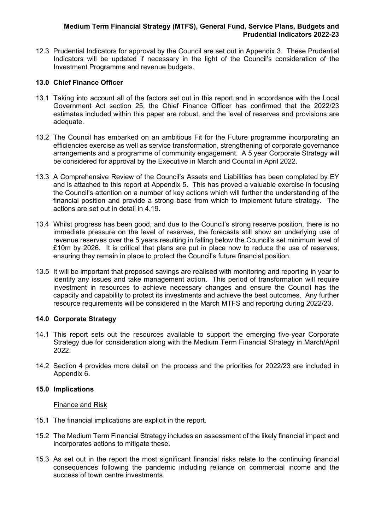12.3 Prudential Indicators for approval by the Council are set out in Appendix 3. These Prudential Indicators will be updated if necessary in the light of the Council's consideration of the Investment Programme and revenue budgets.

# **13.0 Chief Finance Officer**

- 13.1 Taking into account all of the factors set out in this report and in accordance with the Local Government Act section 25, the Chief Finance Officer has confirmed that the 2022/23 estimates included within this paper are robust, and the level of reserves and provisions are adequate.
- 13.2 The Council has embarked on an ambitious Fit for the Future programme incorporating an efficiencies exercise as well as service transformation, strengthening of corporate governance arrangements and a programme of community engagement. A 5 year Corporate Strategy will be considered for approval by the Executive in March and Council in April 2022.
- 13.3 A Comprehensive Review of the Council's Assets and Liabilities has been completed by EY and is attached to this report at Appendix 5. This has proved a valuable exercise in focusing the Council's attention on a number of key actions which will further the understanding of the financial position and provide a strong base from which to implement future strategy. The actions are set out in detail in 4.19.
- 13.4 Whilst progress has been good, and due to the Council's strong reserve position, there is no immediate pressure on the level of reserves, the forecasts still show an underlying use of revenue reserves over the 5 years resulting in falling below the Council's set minimum level of £10m by 2026. It is critical that plans are put in place now to reduce the use of reserves, ensuring they remain in place to protect the Council's future financial position.
- 13.5 It will be important that proposed savings are realised with monitoring and reporting in year to identify any issues and take management action. This period of transformation will require investment in resources to achieve necessary changes and ensure the Council has the capacity and capability to protect its investments and achieve the best outcomes. Any further resource requirements will be considered in the March MTFS and reporting during 2022/23.

# **14.0 Corporate Strategy**

- 14.1 This report sets out the resources available to support the emerging five-year Corporate Strategy due for consideration along with the Medium Term Financial Strategy in March/April 2022.
- 14.2 Section 4 provides more detail on the process and the priorities for 2022/23 are included in Appendix 6.

# **15.0 Implications**

#### Finance and Risk

- 15.1 The financial implications are explicit in the report.
- 15.2 The Medium Term Financial Strategy includes an assessment of the likely financial impact and incorporates actions to mitigate these.
- 15.3 As set out in the report the most significant financial risks relate to the continuing financial consequences following the pandemic including reliance on commercial income and the success of town centre investments.